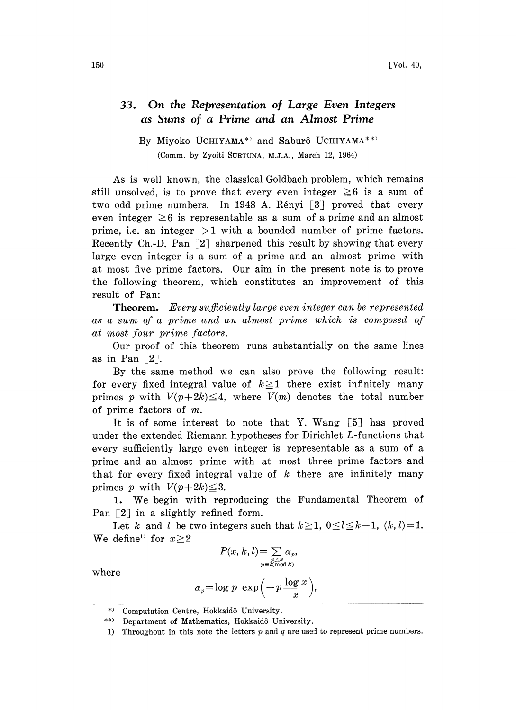## 33. On the Representation of Large Even Integers as Sums of a Prime and an Almost Prime

By Miyoko UCHIYAMA\*<sup>2</sup> and Saburô UCHIYAMA\*\*<sup>2</sup> (Comm. by Zyoiti SUETUNA, M.J.A., March 12, 1964)

As is well known, the classical Goldbach problem, which remains still unsolved, is to prove that every even integer  $\geq 6$  is a sum of two odd prime numbers. In 1948 A. Rényi [3] proved that every even integer  $\geq 6$  is representable as a sum of a prime and an almost prime, i.e. an integer  $>1$  with a bounded number of prime factors. Recently Ch.-D. Pan  $[2]$  sharpened this result by showing that every large even integer is a sum of a prime and an almost prime with at most five prime factors. Our aim in the present note is to prove the following theorem, which constitutes an improvement of this result of Pan:

**Theorem.** Every sufficiently large even integer can be represented .as a sum of a prime and an almost prime which is composed of .at most four prime factors.

Our proof of this theorem runs substantially on the same lines as in Pan  $\lceil 2 \rceil$ .

By the same method we can also prove the following result: for every fixed integral value of  $k \ge 1$  there exist infinitely many primes p with  $V(p+2k) \leq 4$ , where  $V(m)$  denotes the total number of prime factors of m.

It is of some interest to note that Y. Wang [5] has proved under the extended Riemann hypotheses for Dirichlet L-functions that every sufficiently large even integer is representable as a sum of a prime and an almost prime with at most three prime factors and that for every fixed integral value of  $k$  there are infinitely many primes p with  $V(p+2k) \leq 3$ .

1. We begin with reproducing the Fundamental Theorem of Pan  $\lceil 2 \rceil$  in a slightly refined form.

Let k and l be two integers such that  $k \ge 1$ ,  $0 \le l \le k-1$ ,  $(k, l)=1$ . We define<sup>1</sup> for  $x \ge 2$ 

$$
P(x, k, l) = \sum_{\substack{p \leq x \\ p \equiv l \pmod{k}}} \alpha_p,
$$

where

$$
\alpha_p = \log p \exp\left(-p\frac{\log x}{x}\right),\,
$$

<sup>\*&</sup>gt; Computation Centre, Hokkaidô University.

<sup>\*\*)</sup> Department of Mathematics, Hokkaidô University.

<sup>1)</sup> Throughout in this note the letters  $p$  and  $q$  are used to represent prime numbers.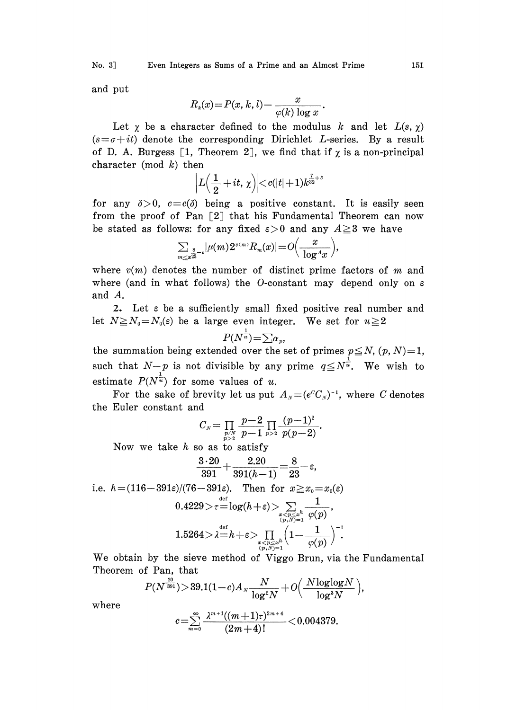and put

$$
R_k(x) = P(x, k, l) - \frac{x}{\varphi(k) \log x}.
$$

Let  $\chi$  be a character defined to the modulus k and let  $L(s, \chi)$  $(s=a+it)$  denote the corresponding Dirichlet L-series. By a result of D. A. Burgess [1, Theorem 2], we find that if  $\chi$  is a non-principal character (mod  $k$ ) then

$$
\displaystyle \Big|L\Big(\frac{1}{2}+it,\,\chi\Big)\Big|{<}c(|t|{+}1)k^{\frac{7}{32}+s}
$$

for any  $\delta > 0$ ,  $c = c(\delta)$  being a positive constant. It is easily seen from the proof of Pan  $\lceil 2 \rceil$  that his Fundamental Theorem can now be stated as follows: for any fixed  $\varepsilon > 0$  and any  $A \ge 3$  we have

$$
\sum_{m\leq x^{2\overline{2}}}\frac{1}{2}|\mu(m)2^{\nu(m)}R_m(x)|=O\Big(\frac{x}{\log^4 x}\Big),
$$

where  $v(m)$  denotes the number of distinct prime factors of m and where (and in what follows) the O-constant may depend only on  $\varepsilon$ and A.

2. Let <sup>e</sup> be a sufficiently small fixed positive real number and let  $N \ge N_0 = N_0(\varepsilon)$  be a large even integer. We set for  $u \ge 2$ 

$$
P(N^{\frac{1}{u}}) = \sum \alpha_p,
$$

the summation being extended over the set of primes  $p \leq N$ ,  $(p, N)=1$ , such that  $N-p$  is not divisible by any prime  $q \leq N^{\frac{1}{u}}$ . We wish to estimate  $P(N^{\frac{1}{u}})$  for some values of u.

For the sake of brevity let us put  $A_{N}=(e^{c}C_{N})^{-1}$ , where C denotes the Euler constant and

C-- p--2 (p--l)

Now we take  $h$  so as to satisfy

$$
\frac{3\cdot 20}{391}+\frac{2.20}{391(h-1)}=\!\frac{8}{23}\!-\!\varepsilon,
$$

i.e. 
$$
h = (116-391\varepsilon)/(76-391\varepsilon)
$$
. Then for  $x \ge x_0 = x_0(\varepsilon)$  $0.4229 > \tau = \log(h+\varepsilon) > \sum_{\substack{x < p \le x^h \\ (p,N)=1}} \frac{1}{\varphi(p)},$ \n $1.5264 > \lambda = h + \varepsilon > \prod_{\substack{x < p \le x^h \\ (p,N)=1}} \left(1 - \frac{1}{\varphi(p)}\right)^{-1}.$ 

We obtain by the sieve method of Viggo Brun, via the Pundamental heorem of Pan, that

$$
P(N^{\frac{20}{391}}) \displaystyle{>}\, 39.1(1\!-\!c) A_{\scriptscriptstyle N} \frac{N}{\log^2\!N} + O\Big(\frac{N \log\!\log\!N}{\log^3\!N}\Big),
$$

where

$$
c = \sum_{m=0}^{\infty} \frac{\lambda^{m+1}((m+1)\tau)^{2m+4}}{(2m+4)!} < 0.004379.
$$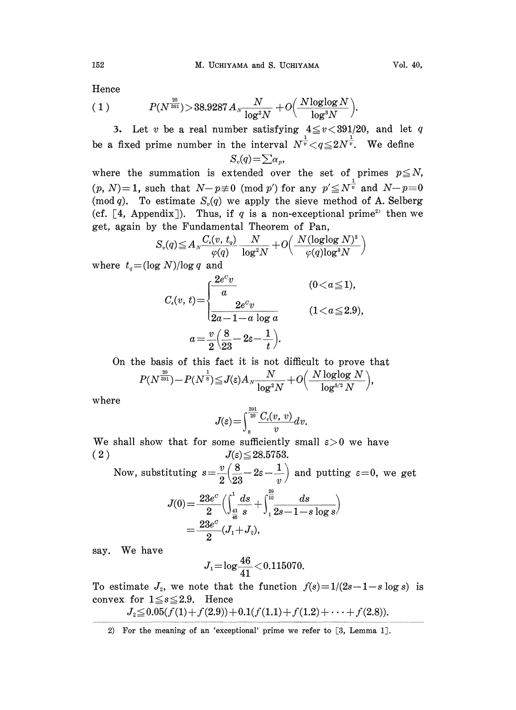Hence

(1) 
$$
P(N^{\frac{20}{391}}) > 38.9287 A_N \frac{N}{\log^2 N} + O\left(\frac{N \log \log N}{\log^3 N}\right).
$$

3. Let v be a real number satisfying  $4 \le v < 391/20$ , and let q be a fixed prime number in the interval  $N^{\frac{1}{v}} < q \leq 2N^{\frac{1}{v}}$ . We define  $S_v(q) = \sum \alpha_v$ 

where the summation is extended over the set of primes  $p \leq N$ ,  $(p, N)=1$ , such that  $N-p\neq 0 \pmod{p'}$  for any  $p'\leq N^{\frac{1}{v}}$  and  $N-p\equiv 0$  $(p, N)=1$ , such that  $N-p\neq 0 \pmod{p'}$  for any  $p' \leq N^{\frac{1}{v}}$  and  $N-p=0$ <br>(mod q). To estimate  $S_v(q)$  we apply the sieve method of A. Selberg (cf.  $[4,$  Appendix]). Thus, if q is a non-exceptional prime<sup>2</sup> then we get, again by the Fundamental Theorem of Pan,

$$
S_v(q) \hspace{-0.3ex}\le\hspace{-0.3ex} A_N \frac{C_\epsilon(v,\,t_q)}{\varphi(q)}\frac{N}{\log^2\hspace{-0.15ex}N}+O\hspace{-0.35ex}\left(\frac{N (\mathrm{log} \mathrm{log}\,N)^3}{\varphi(q)\mathrm{log}^3 N}\right)
$$

where  $t_q = (\log N)/\log q$  and

$$
C_{\epsilon}(v, t) = \begin{cases} \frac{2e^c v}{a} & (0 < a \le 1), \\ \frac{2e^c v}{2a - 1 - a \log a} & (1 < a \le 2.9), \\ a = \frac{v}{2} \left(\frac{8}{23} - 2\varepsilon - \frac{1}{t}\right). \end{cases}
$$

On the basis of this fact it is not difficult to prove that  $P(N^{\frac{20}{391}}) {-} P(N^{\frac{1}{8}}) {\leq} J(\varepsilon) A_N \frac{N}{\log^2\!N} {+} O\Big(\frac{N \log\!\log N}{\log^{5/2} N}\Big)$ 

where

$$
J(\varepsilon) = \int_{8}^{\frac{391}{20}} \frac{C_{\varepsilon}(v, v)}{v} dv.
$$

We shall show that for some sufficiently small  $\varepsilon>0$  we have (2)  $J(\varepsilon) \leq 28.5753$ .

Now, substituting 
$$
s = \frac{v}{2} \left( \frac{8}{23} - 2\varepsilon - \frac{1}{v} \right)
$$
 and putting  $\varepsilon = 0$ , we get  

$$
J(0) = \frac{23e^c}{\left( \int_0^1 \frac{ds}{16} + \int_0^{\frac{29}{10}} ds \right)}
$$

$$
J(0) = \frac{23e^{\circ}}{2} \Big( \int_{\frac{41}{46} - 8} \frac{ds}{s} + \int_{1}^{10} \frac{ds}{2s - 1 - s \log s} \Big) = \frac{23e^{\circ}}{2} (J_1 + J_2),
$$

say. We have

$$
J_1 = \log \frac{46}{41} < 0.115070.
$$

To estimate  $J_z$ , we note that the function  $f(s)=1/(2s-1-s \log s)$  is convex for  $1 \le s \le 2.9$ . Hence

$$
J_2 \leq 0.05(f(1) + f(2.9)) + 0.1(f(1.1) + f(1.2) + \cdots + f(2.8)).
$$

2) For the meaning of an 'exceptional' prime we refer to [3, Lemma 1].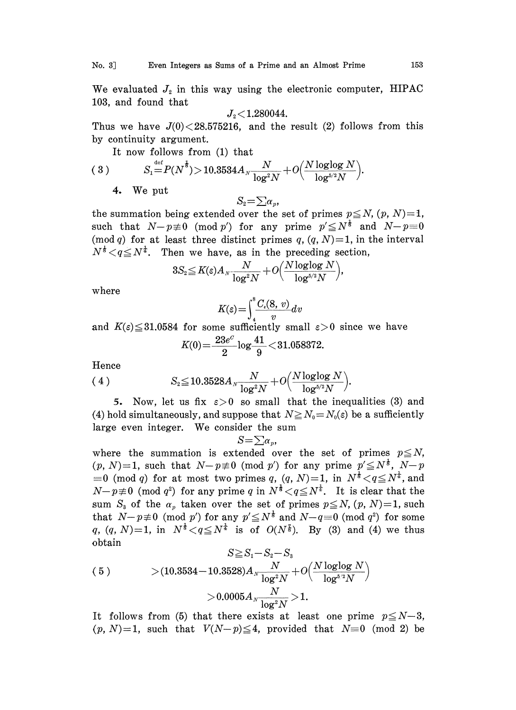We evaluated  $J_2$  in this way using the electronic computer, HIPAC 103, and found that

$$
J_{\scriptscriptstyle 2}{<}1.280044.
$$

Thus we have  $J(0)$   $\leq$  28.575216, and the result (2) follows from this by continuity argument.

It now follows from (1) that

(3) 
$$
S_1 \stackrel{\text{def}}{=} P(N^{\frac{1}{6}}) > 10.3534 A_N \frac{N}{\log^2 N} + O\Big(\frac{N \log \log N}{\log^{5/2} N}\Big).
$$

## 4. We put

$$
S_{\scriptscriptstyle 2} \!\!=\! \sum\! \alpha_{\scriptscriptstyle 1}
$$

the summation being extended over the set of primes  $p \leq N$ ,  $(p, N)=1$ , such that  $N-p\neq 0 \pmod{p'}$  for any prime  $p' \leq N^{\frac{1}{5}}$  and  $N-p=0$ (mod q) for at least three distinct primes q,  $(q, N)=1$ , in the interval  $N^{\frac{1}{2}} < q \leq N^{\frac{1}{4}}$ . Then we have, as in the preceding section,

$$
3S_2\hspace{-0.3ex}\leq\hspace{-0.3ex} K\hspace{-0.1em}(\varepsilon) A_N\frac{N}{\log^2\hspace{-0.15em}N\hspace{-0.15em}}+O\hspace{-0.15em}\left(\frac{N\log\hspace{-0.15em}\log N}{\log^{\hspace{-0.15em}5\hspace{-0.15em}N\hspace{-0.15em}}}\right)\hspace{-0.15em},
$$

where

$$
K(\varepsilon) = \int_{4}^{8} \frac{C_{\varepsilon}(8, v)}{v} dv
$$

and  $K(\varepsilon) \leq 31.0584$  for some sufficiently small  $\varepsilon > 0$  since we have

$$
K(0) = \frac{23e^{\sigma}}{2} \log \frac{41}{9} < 31.058372.
$$

Hence

$$
(4) \tS2 \le 10.3528 AN \frac{N}{\log^2 N} + O\Big(\frac{N \log \log N}{\log^{5/2} N}\Big).
$$

5. Now, let us fix  $\varepsilon > 0$  so small that the inequalities (3) and (4) hold simultaneously, and suppose that  $N \ge N_0 = N_0(\varepsilon)$  be a sufficiently large even integer. We consider the sum

$$
S{=}\textstyle\sum\alpha_p
$$

where the summation is extended over the set of primes  $p \leq N$ ,  $(p, N)=1$ , such that  $N-p\neq 0 \pmod{p'}$  for any prime  $p'\leq N^{\frac{1}{5}}$ ,  $N-p$  $\equiv 0 \pmod{q}$  for at most two primes q,  $(q, N)=1$ , in  $N^{\frac{1}{6}} < q \le N^{\frac{1}{4}}$ , and  $N-p\neq 0 \pmod{q^2}$  for any prime q in  $N^{\frac{1}{3}} < q \leq N^{\frac{1}{4}}$ . It is clear that the sum  $S_3$  of the  $\alpha_p$  taken over the set of primes  $p \leq N$ ,  $(p, N)=1$ , such that  $N-p\neq 0 \pmod{p'}$  for any  $p'\leq N^{\frac{1}{3}}$  and  $N-q\equiv 0 \pmod{q^2}$  for some q,  $(q, N)=1$ , in  $N^{\frac{1}{3}} < q \le N^{\frac{1}{4}}$  is of  $O(N^{\frac{7}{8}})$ . By (3) and (4) we thus obtain

$$
S \ge S_1 - S_2 - S_3
$$
\n
$$
(5) > (10.3534 - 10.3528) A_N \frac{N}{\log^2 N} + O\left(\frac{N \log \log N}{\log^{5/2} N}\right)
$$
\n
$$
> 0.0005 A_N \frac{N}{\log^2 N} > 1.
$$

It follows from (5) that there exists at least one prime  $p \leq N-3$ ,  $(p, N)=1$ , such that  $V(N-p)\leq 4$ , provided that  $N=0$  (mod 2) be